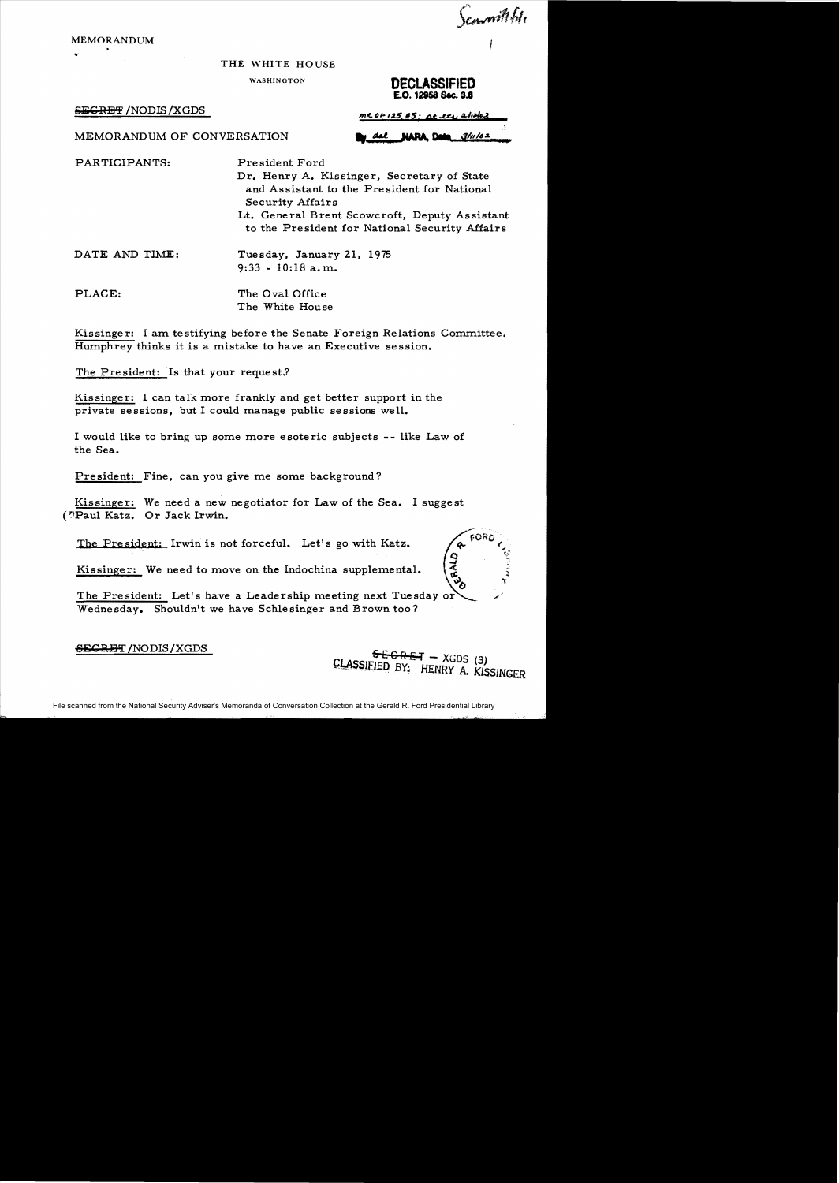**MEMORANDUM** 

## THE WHITE HOUSE

**WASHINGTON** 

## **SEGRET /NODIS /XGDS**

PARTICIPANTS:

DECLASSIFIED E.O. 12958 Sec. 3.6

Scowmithfule

 $MC$  01-125, #5; at ety 2/12/02  $3/1/62$ dsl **NARA Data** 

MEMORANDUM OF CONVERSATION

President Ford Dr. Henry A. Kissinger, Secretary of State and Assistant to the President for National **Security Affairs** Lt. General Brent Scowcroft, Deputy Assistant

to the President for National Security Affairs

DATE AND TIME: Tuesday, January 21, 1975  $9:33 - 10:18$  a.m.

PLACE:

The Oval Office The White House

Kissinger: I am testifying before the Senate Foreign Relations Committee. Humphrey thinks it is a mistake to have an Executive session.

The President: Is that your request?

Kissinger: I can talk more frankly and get better support in the private sessions, but I could manage public sessions well.

I would like to bring up some more esoteric subjects -- like Law of the Sea.

President: Fine, can you give me some background?

Kissinger: We need a new negotiator for Law of the Sea. I suggest (?Paul Katz. Or Jack Irwin.

The President: Irwin is not forceful. Let's go with Katz.

Kissinger: We need to move on the Indochina supplemental.

The President: Let's have a Leadership meeting next Tuesday or Wednesday. Shouldn't we have Schlesinger and Brown too?

**SECRET** /NODIS / XGDS

 $556RF - XGDS$  (3) CLASSIFIED BY: HENRY A. KISSINGER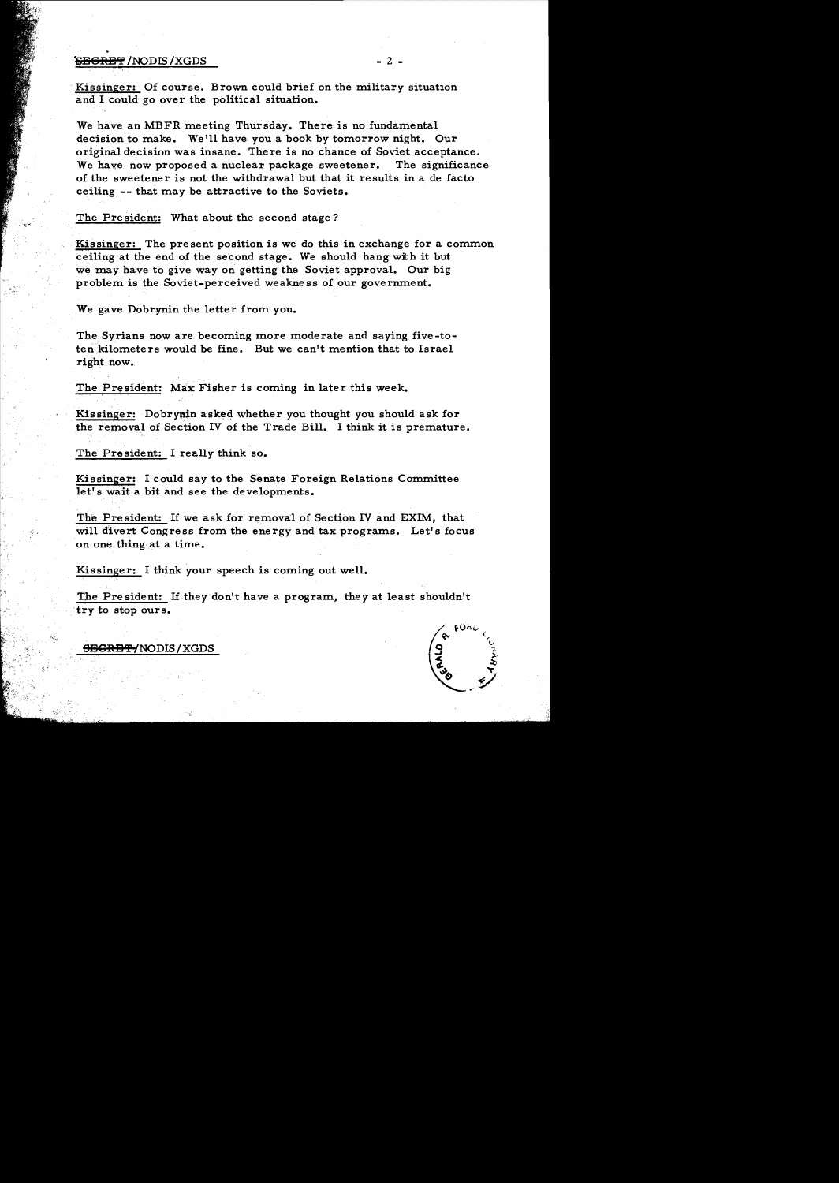## **'&E6RET** /NODIS /XGDS - 2 -

Kissinger: Of course. Brown could brief on the military situation and I could go over the political situation.

We have an MBFR meeting Thursday. There is no fundamental decision to make. We'll have you a book by tomorrow night. Our original decision was insane. There is no chance of Soviet acceptance. We have now proposed a nuclear package sweetener. The significance of the sweetener is not the withdrawal but that it results in a de facto ceiling -- that may be attractive to the Soviets.

The President: What about the second stage?

Kissinger: The present position is we do this in exchange for a common ceiling at the end of the second stage. We should hang with it but we may have to give way on getting the Soviet approval. Our big problem is the Soviet-perceived weakness of our govermnent.

We gave Dobrynin the letter from you.

The Syrians now are becoming more moderate and saying five -toten kilometers would be fine. But we can't mention that to Israel right now.

The President: Max Fisher is coming in later this week.

Kissinger: Dobrynin asked whether you thought you should ask for the removal of Section IV of the Trade Bill. I think it is premature.

The President: I really think so.

Kissinger: I could say to the Senate Foreign Relations Committee let's wait a bit and see the developments.

The President: If we ask for removal of Section IV and EXIM, that will divert Congress from the energy and tax programs. Let's focus on one thing at a time.

Kissinger: I think your speech is coming out well.

The President: If they don't have a program, they at least shouldn't try to stop ours.



<del>SECRET/</del>NODIS/XGDS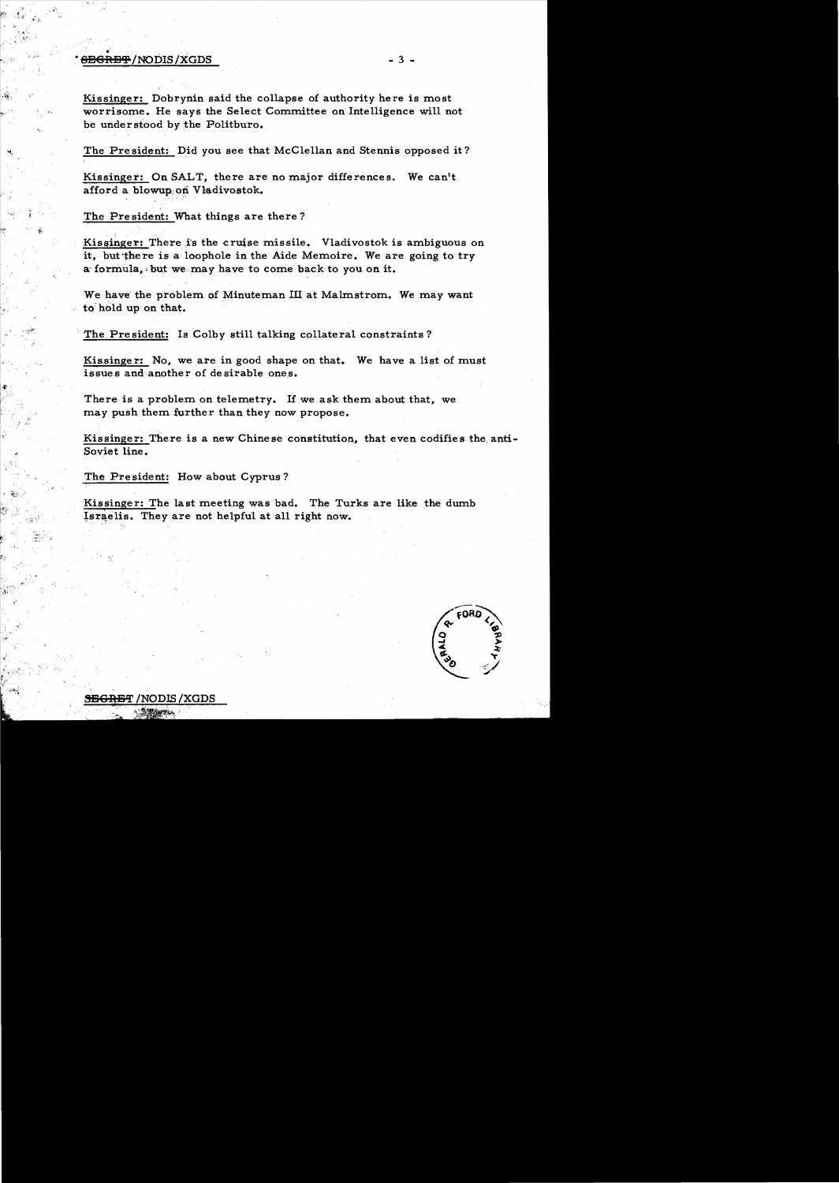## $\frac{1}{2}$   $\frac{1}{2}$   $\frac{1}{2}$   $\frac{1}{2}$   $\frac{1}{2}$   $\frac{1}{2}$   $\frac{1}{2}$   $\frac{1}{2}$   $\frac{1}{2}$   $\frac{1}{2}$   $\frac{1}{2}$   $\frac{1}{2}$   $\frac{1}{2}$   $\frac{1}{2}$   $\frac{1}{2}$   $\frac{1}{2}$   $\frac{1}{2}$   $\frac{1}{2}$   $\frac{1}{2}$   $\frac{1}{2}$   $\frac{1}{2}$   $\frac{1}{2}$

Kissinger: Dobrynin said the collapse of authority here is most worrisome. He says the Select Committee on Intelligence will not be understood by the Politburo.

The President: Did you see that McClellan and Stennis opposed it?

Kissinger: On SALT, there are no major differences. We can't afford a blowup; on Vladivostok.

The President: What things are there?

Kissinger: There is the cruise missile. Vladivostok is ambiguous on it, but there is a loophole in the Aide Memoire. We are going to try a formula, but we may have to come back to you on it.

We have the problem of Minuteman III at Malmstrom. We may want to hold up on that.

The President: Is Colby still talking collateral constraints?

Kissinger: No, we are in good shape on that. We have a list of must issues and another of desirable ones.

There is a problem on telemetry. If we ask them about that, we may push them further than they now propose.

Kissinger: There is a new Chinese constitution, that even codifies the, anti-Soviet line.

The President: How about Cyprus?

Kissinger: The last meeting was bad. The Turks are like the dumb Israelis. They are not helpful at all right now.



<del>JEGRET</del> /NODIS /XGDS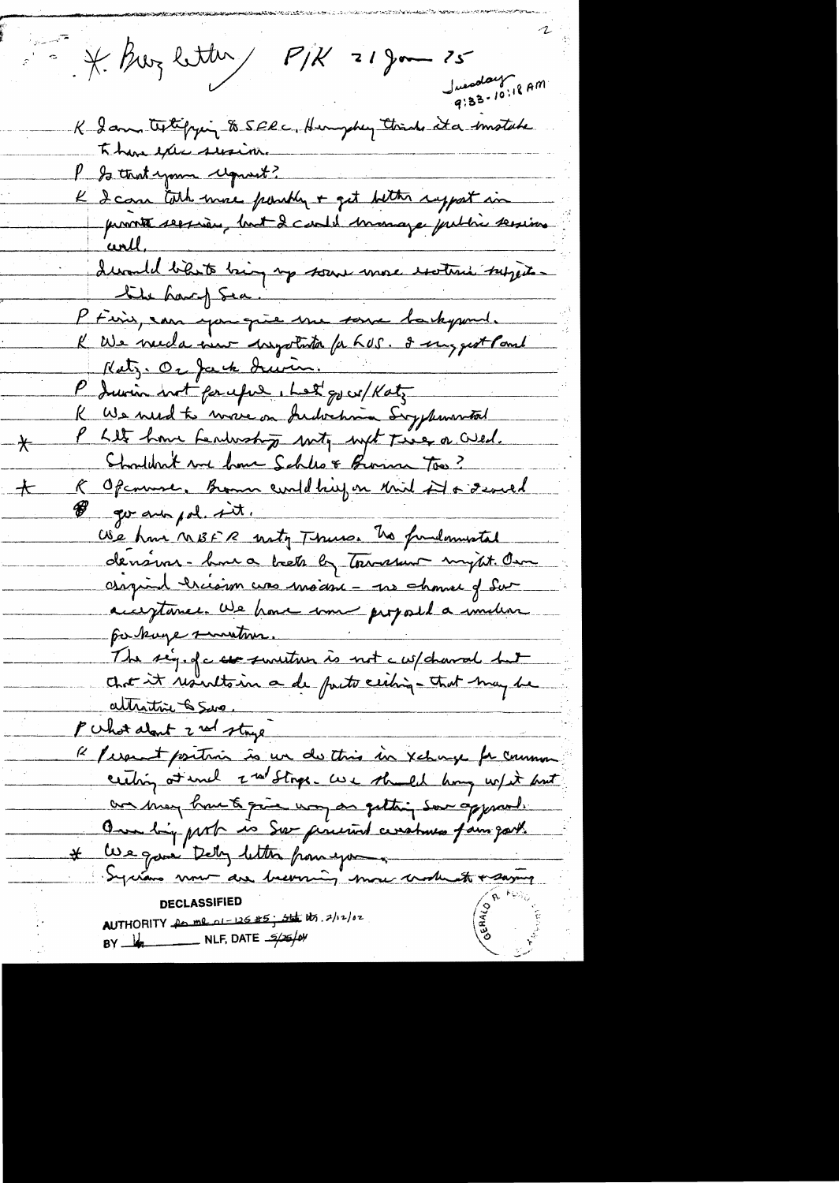$P/K = 18$  and  $P/K = 18$  and  $25$ Juenday<br>9:33-10:18 AM K I am textifying to SERC, Hungchen think it a smotable There executive r so that your request?<br>Le 2 care toth more possibly + get better report in<br>provint service, but 2 center manage public servine devantel bilite bing up some more exoteri subjects the hard Sea. P Finis, can you give the some hastypour. K We need a new - hystata for hos. I suggest Paul Katz. Or fack drum. R We need to wrove on Judochnia Svyphonoritor P Lite home Lendwishing with with Tier or Wed. Shouldn't me home Schles & Brown Too? R Openmer, Bonn could big on third it & several go ano pol. sit. We have nost R noty Thurs. The fundamental dension - houra been by townsure mysit. Own carginal creation cross modern - me shower of Sur acceptance. We have some proposed a indian parkinge survitions. The sey of c use sensetion is not c w/ chancel hat chet it resultain a de parte ceiting - that may be altritri & Sur. Pulst about 2 rd stage 12 / espect positivis is un de this in xchange for common centing at uncl 2 nd Stops. We shall know w/ it but an may have to give way an getting som approved. One big port is Sor precied ceratives fam got. \* We gave Dely letter from your Syrians now are becoming more worked + saying AUTHORITY for me 01-126 #5; set its, 2/12/02 BY  $\frac{1}{\sqrt{2}}$  NLF, DATE  $\frac{5}{26}$ 

⊁

ート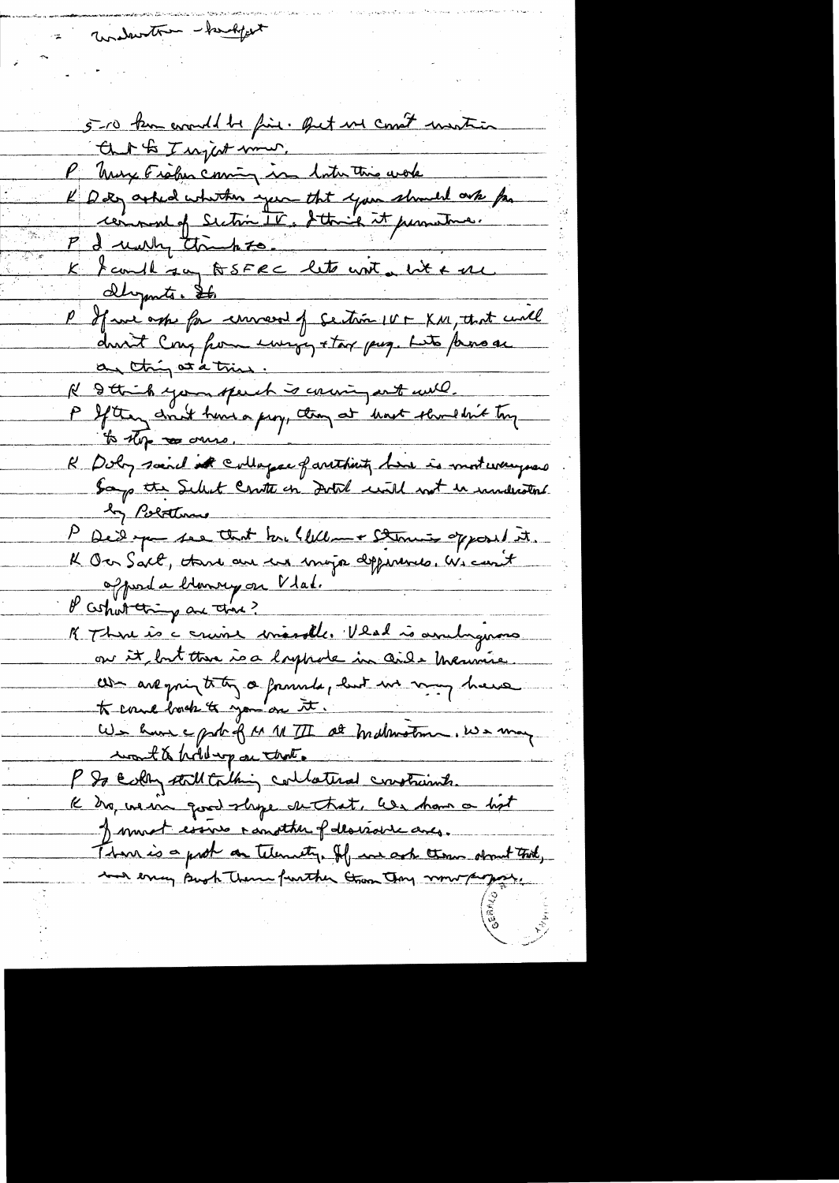underston - handport 5-10 km eventd be fine. But us const martin Cut to I upot mm. P Muy Fisher coming in later this work<br>L D tog asked whether your that your should onte for Pd unity thanks. K fault su BSFRC lette unt uit + me <u>Olymts. St.</u> P If we ask for convert of section IV - XM, that unll an thing at a tries. Il & thick you speech is county ant will.<br>P Ifthey drut have a prop, though at hast showed bit tony to the resource. K Doly said it colleger farthing his is moteveryons by Polatine P Des par ses that he Wellen + Stanis opposed it.<br>K Over Salt, there are used major dependences. We cont K Thre is a cruise marsle. Veal is avulymons to come book to you are it. We have a port of M M TI at mathemation. We may P So Estry still to thing collateral crostrumts. K tro, we are good shope dethat, less ham a bit Jement essure randther p des violve aves. Than is a prob on telementy. If we ask them shown that, and ency Bush Them further than Joy now propose